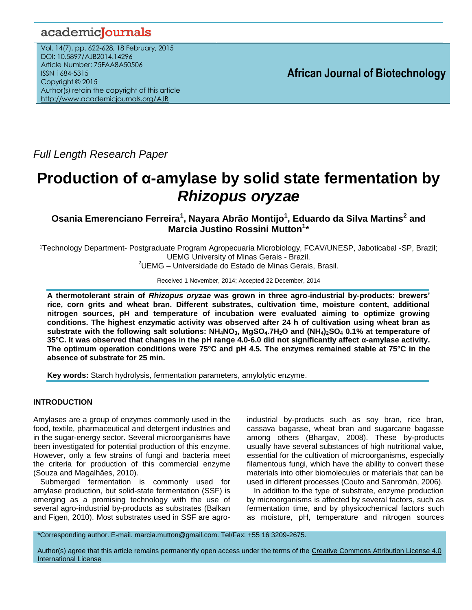# academicJournals

Vol. 14(7), pp. 622-628, 18 February, 2015 DOI: 10.5897/AJB2014.14296 Article Number: 75FAA8A50506 ISSN 1684-5315 Copyright © 2015 Author(s) retain the copyright of this article <http://www.academicjournals.org/AJB>

**African Journal of Biotechnology**

*Full Length Research Paper*

# **Production of α-amylase by solid state fermentation by**  *Rhizopus oryzae*

**Osania Emerenciano Ferreira<sup>1</sup> , Nayara Abrão Montijo<sup>1</sup> , Eduardo da Silva Martins<sup>2</sup> and Marcia Justino Rossini Mutton<sup>1</sup> \***

1Technology Department- Postgraduate Program Agropecuaria Microbiology, FCAV/UNESP, Jaboticabal -SP, Brazil; UEMG University of Minas Gerais - Brazil.

 $2$ UEMG – Universidade do Estado de Minas Gerais, Brasil.

Received 1 November, 2014; Accepted 22 December, 2014

**A thermotolerant strain of** *Rhizopus oryzae* **was grown in three agro-industrial by-products: brewers' rice, corn grits and wheat bran. Different substrates, cultivation time, moisture content, additional nitrogen sources, pH and temperature of incubation were evaluated aiming to optimize growing conditions. The highest enzymatic activity was observed after 24 h of cultivation using wheat bran as**  substrate with the following salt solutions:  $NH_4NO_3$ , MgSO<sub>4</sub>.7H<sub>2</sub>O and (NH<sub>4</sub>)<sub>2</sub>SO<sub>4</sub> 0.1% at temperature of **35°C. It was observed that changes in the pH range 4.0-6.0 did not significantly affect α-amylase activity. The optimum operation conditions were 75°C and pH 4.5. The enzymes remained stable at 75°C in the absence of substrate for 25 min.** 

**Key words:** Starch hydrolysis, fermentation parameters, amylolytic enzyme.

# **INTRODUCTION**

Amylases are a group of enzymes commonly used in the food, textile, pharmaceutical and detergent industries and in the sugar-energy sector. Several microorganisms have been investigated for potential production of this enzyme. However, only a few strains of fungi and bacteria meet the criteria for production of this commercial enzyme (Souza and Magalhães, 2010).

Submerged fermentation is commonly used for amylase production, but solid-state fermentation (SSF) is emerging as a promising technology with the use of several agro-industrial by-products as substrates (Balkan and Figen, 2010). Most substrates used in SSF are agroindustrial by-products such as soy bran, rice bran, cassava bagasse, wheat bran and sugarcane bagasse among others (Bhargav, 2008). These by-products usually have several substances of high nutritional value, essential for the cultivation of microorganisms, especially filamentous fungi, which have the ability to convert these materials into other biomolecules or materials that can be used in different processes (Couto and Sanromán, 2006).

In addition to the type of substrate, enzyme production by microorganisms is affected by several factors, such as fermentation time, and by physicochemical factors such as moisture, pH, temperature and nitrogen sources

\*Corresponding author. E-mail. marcia.mutton@gmail.com. Tel/Fax: +55 16 3209-2675.

Author(s) agree that this article remains permanently open access under the terms of the Creative Commons Attribution License 4.0 [International License](http://creativecommons.org/licenses/by/4.0/deed.en_US)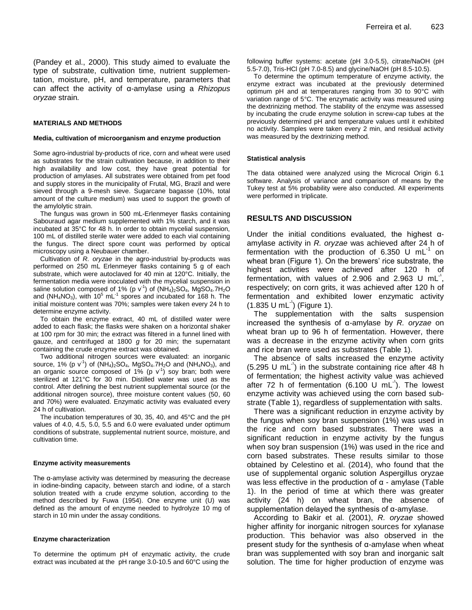(Pandey et al., 2000). This study aimed to evaluate the type of substrate, cultivation time, nutrient supplementation, moisture, pH, and temperature, parameters that can affect the activity of α-amylase using a *Rhizopus oryzae* strain*.*

#### **MATERIALS AND METHODS**

#### **Media, cultivation of microorganism and enzyme production**

Some agro-industrial by-products of rice, corn and wheat were used as substrates for the strain cultivation because, in addition to their high availability and low cost, they have great potential for production of amylases. All substrates were obtained from pet food and supply stores in the municipality of Frutal, MG, Brazil and were sieved through a 9-mesh sieve. Sugarcane bagasse (10%, total amount of the culture medium) was used to support the growth of the amylolytic strain.

The fungus was grown in 500 mL-Erlenmeyer flasks containing Sabouraud agar medium supplemented with 1% starch, and it was incubated at 35°C for 48 h. In order to obtain mycelial suspension, 100 mL of distilled sterile water were added to each vial containing the fungus. The direct spore count was performed by optical microscopy using a Neubauer chamber.

Cultivation of *R. oryzae* in the agro-industrial by-products was performed on 250 mL Erlenmeyer flasks containing 5 g of each substrate, which were autoclaved for 40 min at 120°C. Initially, the fermentation media were inoculated with the mycelial suspension in saline solution composed of 1% (p v<sup>-1</sup>) of (NH<sub>4</sub>)<sub>2</sub>SO<sub>4</sub>, MgSO<sub>4</sub>.7H<sub>2</sub>O and (NH<sub>4</sub>NO<sub>3</sub>), with 10<sup>5</sup> mL<sup>-1</sup> spores and incubated for 168 h. The initial moisture content was 70%; samples were taken every 24 h to determine enzyme activity.

To obtain the enzyme extract, 40 mL of distilled water were added to each flask; the flasks were shaken on a horizontal shaker at 100 rpm for 30 min; the extract was filtered in a funnel lined with gauze, and centrifuged at 1800 *g* for 20 min; the supernatant containing the crude enzyme extract was obtained.

Two additional nitrogen sources were evaluated: an inorganic source, 1% (p v<sup>-1</sup>) of (NH<sub>4</sub>)<sub>2</sub>SO<sub>4</sub>, MgSO<sub>4</sub>.7H<sub>2</sub>O and (NH<sub>4</sub>NO<sub>3</sub>), and an organic source composed of 1% (p  $v<sup>-1</sup>$ ) soy bran; both were sterilized at 121°C for 30 min. Distilled water was used as the control. After defining the best nutrient supplemental source (or the additional nitrogen source), three moisture content values (50, 60 and 70%) were evaluated. Enzymatic activity was evaluated every 24 h of cultivation.

The incubation temperatures of 30, 35, 40, and 45°C and the pH values of 4.0, 4.5, 5.0, 5.5 and 6.0 were evaluated under optimum conditions of substrate, supplemental nutrient source, moisture, and cultivation time.

#### **Enzyme activity measurements**

The α-amylase activity was determined by measuring the decrease in iodine-binding capacity, between starch and iodine, of a starch solution treated with a crude enzyme solution, according to the method described by Fuwa (1954). One enzyme unit (U) was defined as the amount of enzyme needed to hydrolyze 10 mg of starch in 10 min under the assay conditions.

#### **Enzyme characterization**

To determine the optimum pH of enzymatic activity, the crude extract was incubated at the pH range 3.0-10.5 and 60°C using the

following buffer systems: acetate (pH 3.0-5.5), citrate/NaOH (pH 5.5-7.0), Tris-HCl (pH 7.0-8.5) and glycine/NaOH (pH 8.5-10.5).

To determine the optimum temperature of enzyme activity, the enzyme extract was incubated at the previously determined optimum pH and at temperatures ranging from 30 to 90°C with variation range of 5°C. The enzymatic activity was measured using the dextrinizing method. The stability of the enzyme was assessed by incubating the crude enzyme solution in screw-cap tubes at the previously determined pH and temperature values until it exhibited no activity. Samples were taken every 2 min, and residual activity was measured by the dextrinizing method.

#### **Statistical analysis**

The data obtained were analyzed using the Microcal Origin 6.1 software. Analysis of variance and comparison of means by the Tukey test at 5% probability were also conducted. All experiments were performed in triplicate.

#### **RESULTS AND DISCUSSION**

Under the initial conditions evaluated*,* the highest αamylase activity in *R. oryzae* was achieved after 24 h of fermentation with the production of 6.350 U mL $<sup>-1</sup>$  on</sup> wheat bran (Figure 1). On the brewers' rice substrate, the highest activities were achieved after 120 h of fermentation, with values of 2.906 and 2.963 U mL<sup>1</sup>, respectively; on corn grits, it was achieved after 120 h of fermentation and exhibited lower enzymatic activity  $(1.835 U mL)$  (Figure 1).

The supplementation with the salts suspension increased the synthesis of α-amylase by *R. oryzae* on wheat bran up to 96 h of fermentation. However, there was a decrease in the enzyme activity when corn grits and rice bran were used as substrates (Table 1).

The absence of salts increased the enzyme activity  $(5.295 \text{ U } \text{mL}^3)$  in the substrate containing rice after 48 h of fermentation; the highest activity value was achieved after 72 h of fermentation (6.100  $U$  mL<sup>-1</sup>). The lowest enzyme activity was achieved using the corn based substrate (Table 1), regardless of supplementation with salts.

There was a significant reduction in enzyme activity by the fungus when soy bran suspension (1%) was used in the rice and corn based substrates. There was a significant reduction in enzyme activity by the fungus when soy bran suspension (1%) was used in the rice and corn based substrates. These results similar to those obtained by Celestino et al. (2014), who found that the use of supplemental organic solution Aspergillus oryzae was less effective in the production of  $α$  - amylase (Table 1). In the period of time at which there was greater activity (24 h) on wheat bran, the absence of supplementation delayed the synthesis of α-amylase.

According to Bakir et al. (2001), *R. oryzae* showed higher affinity for inorganic nitrogen sources for xylanase production. This behavior was also observed in the present study for the synthesis of α-amylase when wheat bran was supplemented with soy bran and inorganic salt solution. The time for higher production of enzyme was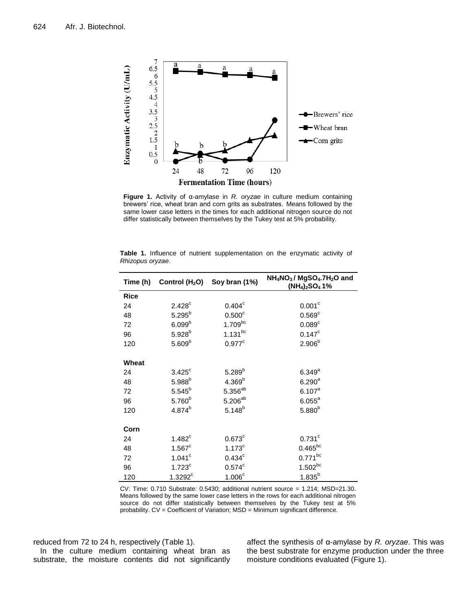

**Figure 1.** Activity of α-amylase in *R. oryzae* in culture medium containing brewers' rice, wheat bran and corn grits as substrates. Means followed by the same lower case letters in the times for each additional nitrogen source do not differ statistically between themselves by the Tukey test at 5% probability.

|       | Time (h) Control $(H2O)$ Soy bran (1%) |                      | NH <sub>4</sub> NO <sub>3</sub> /MgSO <sub>4</sub> .7H <sub>2</sub> O and<br>$(NH4)2SO41%$ |  |
|-------|----------------------------------------|----------------------|--------------------------------------------------------------------------------------------|--|
| Rice  |                                        |                      |                                                                                            |  |
| 24    | 2.428 <sup>c</sup>                     | $0.404^{\circ}$      | 0.001 <sup>c</sup>                                                                         |  |
| 48    | $5.295^{b}$                            | 0.500 <sup>c</sup>   | 0.569 <sup>c</sup>                                                                         |  |
| 72    | 6.099 <sup>b</sup>                     | $1.709^{bc}$         | 0.089 <sup>c</sup>                                                                         |  |
| 96    | $5.928^{b}$                            | $1.131^{bc}$         | $0.147^c$                                                                                  |  |
| 120   | $5.609^{b}$                            | $0.977$ <sup>c</sup> | $2.906^{b}$                                                                                |  |
|       |                                        |                      |                                                                                            |  |
| Wheat |                                        |                      |                                                                                            |  |
| 24    | $3.425$ <sup>c</sup>                   | $5.289^{b}$          | $6.349^{a}$                                                                                |  |
| 48    | $5.988^{b}$                            | 4.369 <sup>b</sup>   | $6.290^{a}$                                                                                |  |
| 72    | $5.545^{b}$                            | $5.356^{ab}$         | $6.107^{a}$                                                                                |  |
| 96    | 5.760 <sup>b</sup>                     | $5.206^{ab}$         | $6.055^{\circ}$                                                                            |  |
| 120   | $4.874^{b}$                            | $5.148^{b}$          | 5.880 <sup>b</sup>                                                                         |  |
| Corn  |                                        |                      |                                                                                            |  |
|       |                                        |                      |                                                                                            |  |
| 24    | $1.482^c$                              | $0.673^c$            | $0.731$ <sup>c</sup>                                                                       |  |
| 48    | $1.567^c$                              | 1.173 <sup>c</sup>   | $0.465^{bc}$                                                                               |  |
| 72    | $1.041$ <sup>c</sup>                   | $0.434$ <sup>c</sup> | $0.771^{bc}$                                                                               |  |
| 96    | 1.723 <sup>c</sup>                     | $0.574$ <sup>c</sup> | $1.502^{bc}$                                                                               |  |
| 120   | $1.3292^c$                             | 1.006 <sup>c</sup>   | $1.835^{b}$                                                                                |  |

**Table 1.** Influence of nutrient supplementation on the enzymatic activity of *Rhizopus oryzae*.

CV: Time: 0.710 Substrate: 0.5430; additional nutrient source = 1.214; MSD=21.30. Means followed by the same lower case letters in the rows for each additional nitrogen source do not differ statistically between themselves by the Tukey test at 5% probability. CV = Coefficient of Variation; MSD = Minimum significant difference.

reduced from 72 to 24 h, respectively (Table 1). In the culture medium containing wheat bran as

substrate, the moisture contents did not significantly

affect the synthesis of α-amylase by *R. oryzae*. This was the best substrate for enzyme production under the three moisture conditions evaluated (Figure 1).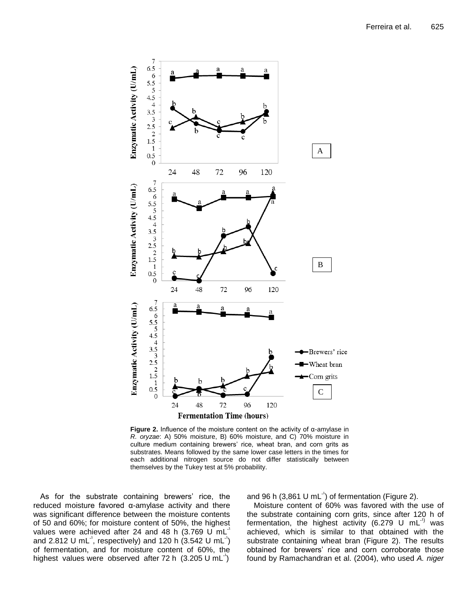

**Figure 2.** Influence of the moisture content on the activity of α-amylase in *R. oryzae*: A) 50% moisture, B) 60% moisture, and C) 70% moisture in culture medium containing brewers' rice, wheat bran, and corn grits as substrates. Means followed by the same lower case letters in the times for each additional nitrogen source do not differ statistically between themselves by the Tukey test at 5% probability.

As for the substrate containing brewers' rice, the reduced moisture favored α-amylase activity and there was significant difference between the moisture contents of 50 and 60%; for moisture content of 50%, the highest values were achieved after 24 and 48 h  $(3.769 \text{ U } \text{mL})$ and 2.812 U mL<sup>-1</sup>, respectively) and 120 h  $(3.542 \text{ U mL}^{-1})$ of fermentation, and for moisture content of 60%, the highest values were observed after  $72 h$  (3.205 U mL<sup>-1</sup>)

and 96 h (3,861 U mL $^{-1}$ ) of fermentation (Figure 2).

Moisture content of 60% was favored with the use of the substrate containing corn grits, since after 120 h of fermentation, the highest activity (6.279 U mL $^{-1}$ ) was achieved, which is similar to that obtained with the substrate containing wheat bran (Figure 2). The results obtained for brewers' rice and corn corroborate those found by Ramachandran et al. (2004), who used *A. niger*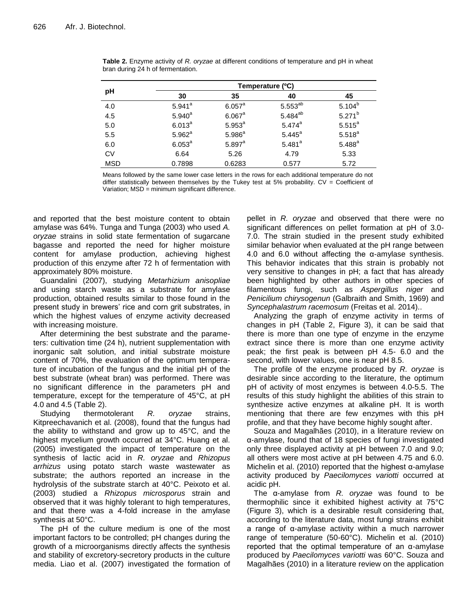|            | Temperature (°C)     |                    |                     |             |  |
|------------|----------------------|--------------------|---------------------|-------------|--|
| рH         | 30                   | 35                 | 40                  | 45          |  |
| 4.0        | $5.941$ <sup>a</sup> | $6.057^{\circ}$    | $5.553^{ab}$        | $5.104^{b}$ |  |
| 4.5        | $5.940^{a}$          | $6.067^{\circ}$    | 5.484 <sup>ab</sup> | $5.271^{b}$ |  |
| 5.0        | $6.013^{a}$          | $5.953^{a}$        | $5.474^a$           | $5.515^{a}$ |  |
| 5.5        | $5.962^a$            | 5.986 <sup>a</sup> | $5.445^{a}$         | $5.518^{a}$ |  |
| 6.0        | $6.053^{a}$          | $5.897^{a}$        | $5.481^{a}$         | $5.488^{a}$ |  |
| <b>CV</b>  | 6.64                 | 5.26               | 4.79                | 5.33        |  |
| <b>MSD</b> | 0.7898               | 0.6283             | 0.577               | 5.72        |  |

**Table 2.** Enzyme activity of *R. oryzae* at different conditions of temperature and pH in wheat bran during 24 h of fermentation.

Means followed by the same lower case letters in the rows for each additional temperature do not differ statistically between themselves by the Tukey test at 5% probability.  $CV = Coefficient$  of Variation; MSD = minimum significant difference.

and reported that the best moisture content to obtain amylase was 64%. Tunga and Tunga (2003) who used *A. oryzae* strains in solid state fermentation of sugarcane bagasse and reported the need for higher moisture content for amylase production, achieving highest production of this enzyme after 72 h of fermentation with approximately 80% moisture.

Guandalini (2007), studying *Metarhizium anisopliae* and using starch waste as a substrate for amylase production, obtained results similar to those found in the present study in brewers' rice and corn grit substrates, in which the highest values of enzyme activity decreased with increasing moisture.

After determining the best substrate and the parameters: cultivation time (24 h), nutrient supplementation with inorganic salt solution, and initial substrate moisture content of 70%, the evaluation of the optimum temperature of incubation of the fungus and the initial pH of the best substrate (wheat bran) was performed. There was no significant difference in the parameters pH and temperature, except for the temperature of 45°C, at pH 4.0 and 4.5 (Table 2).

Studying thermotolerant *R. oryzae* strains, Kitpreechavanich et al. (2008), found that the fungus had the ability to withstand and grow up to 45°C, and the highest mycelium growth occurred at 34°C. Huang et al. (2005) investigated the impact of temperature on the synthesis of lactic acid in *R. oryzae* and *Rhizopus arrhizus* using potato starch waste wastewater as substrate; the authors reported an increase in the hydrolysis of the substrate starch at 40°C. Peixoto et al. (2003) studied a *Rhizopus microsporus* strain and observed that it was highly tolerant to high temperatures, and that there was a 4-fold increase in the amylase synthesis at 50°C.

The pH of the culture medium is one of the most important factors to be controlled; pH changes during the growth of a microorganisms directly affects the synthesis and stability of excretory-secretory products in the culture media. Liao et al. (2007) investigated the formation of pellet in *R. oryzae* and observed that there were no significant differences on pellet formation at pH of 3.0- 7.0. The strain studied in the present study exhibited similar behavior when evaluated at the pH range between 4.0 and 6.0 without affecting the  $\alpha$ -amylase synthesis. This behavior indicates that this strain is probably not very sensitive to changes in pH; a fact that has already been highlighted by other authors in other species of filamentous fungi, such as *Aspergillus niger* and *Penicilium chirysogenun* (Galbraith and Smith, 1969) and *Syncephalastrum racemosum* (Freitas et al. 2014)..

Analyzing the graph of enzyme activity in terms of changes in pH (Table 2, Figure 3), it can be said that there is more than one type of enzyme in the enzyme extract since there is more than one enzyme activity peak; the first peak is between pH 4.5- 6.0 and the second, with lower values, one is near pH 8.5.

The profile of the enzyme produced by *R. oryzae* is desirable since according to the literature, the optimum pH of activity of most enzymes is between 4.0-5.5. The results of this study highlight the abilities of this strain to synthesize active enzymes at alkaline pH. It is worth mentioning that there are few enzymes with this pH profile, and that they have become highly sought after.

Souza and Magalhães (2010), in a literature review on α-amylase, found that of 18 species of fungi investigated only three displayed activity at pH between 7.0 and 9.0; all others were most active at pH between 4.75 and 6.0. Michelin et al. (2010) reported that the highest α-amylase activity produced by *Paecilomyces variotti* occurred at acidic pH.

The α-amylase from *R. oryzae* was found to be thermophilic since it exhibited highest activity at 75°C (Figure 3), which is a desirable result considering that, according to the literature data, most fungi strains exhibit a range of α-amylase activity within a much narrower range of temperature (50-60°C). Michelin et al. (2010) reported that the optimal temperature of an α-amylase produced by *Paecilomyces variotti* was 60°C. Souza and Magalhães (2010) in a literature review on the application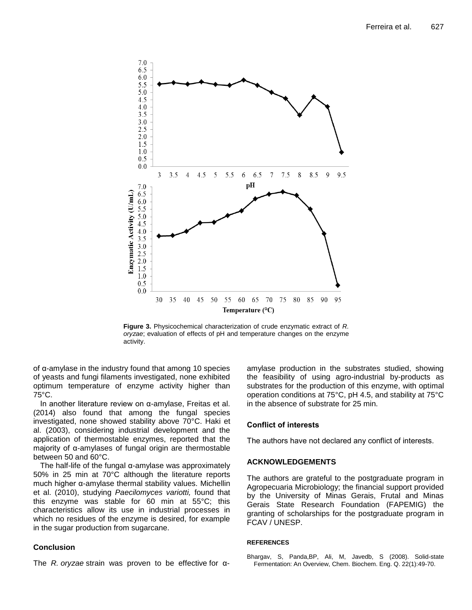

**Figure 3.** Physicochemical characterization of crude enzymatic extract of *R. oryzae*; evaluation of effects of pH and temperature changes on the enzyme activity.

of α-amylase in the industry found that among 10 species of yeasts and fungi filaments investigated, none exhibited optimum temperature of enzyme activity higher than 75°C.

In another literature review on α-amylase, Freitas et al. (2014) also found that among the fungal species investigated, none showed stability above 70°C. Haki et al. (2003), considering industrial development and the application of thermostable enzymes, reported that the majority of α-amylases of fungal origin are thermostable between 50 and 60°C.

The half-life of the fungal α-amylase was approximately 50% in 25 min at 70°C although the literature reports much higher α-amylase thermal stability values. Michellin et al. (2010), studying *Paecilomyces variotti,* found that this enzyme was stable for 60 min at 55°C; this characteristics allow its use in industrial processes in which no residues of the enzyme is desired, for example in the sugar production from sugarcane.

# **Conclusion**

The *R. oryzae* strain was proven to be effective for α-

amylase production in the substrates studied, showing the feasibility of using agro-industrial by-products as substrates for the production of this enzyme, with optimal operation conditions at 75°C, pH 4.5, and stability at 75°C in the absence of substrate for 25 min.

## **Conflict of interests**

The authors have not declared any conflict of interests.

## **ACKNOWLEDGEMENTS**

The authors are grateful to the postgraduate program in Agropecuaria Microbiology; the financial support provided by the University of Minas Gerais, Frutal and Minas Gerais State Research Foundation (FAPEMIG) the granting of scholarships for the postgraduate program in FCAV / UNESP.

#### **REFERENCES**

Bhargav, S, Panda,BP, Ali, M, Javedb, S (2008). Solid-state Fermentation: An Overview, Chem. Biochem. Eng. Q. 22(1):49-70.